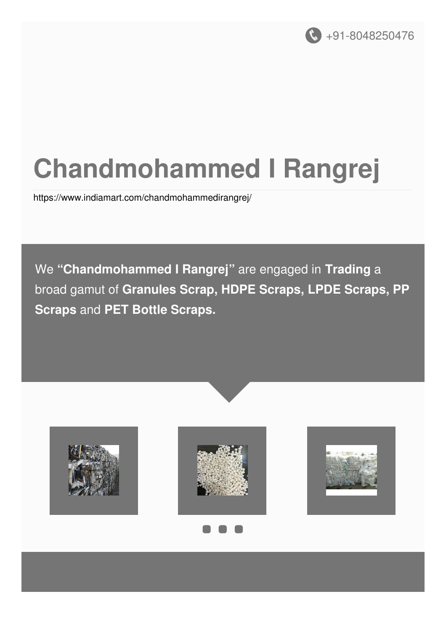

# **Chandmohammed I Rangrej**

<https://www.indiamart.com/chandmohammedirangrej/>

We **"Chandmohammed I Rangrej"** are engaged in **Trading** a broad gamut of **Granules Scrap, HDPE Scraps, LPDE Scraps, PP Scraps** and **PET Bottle Scraps.**

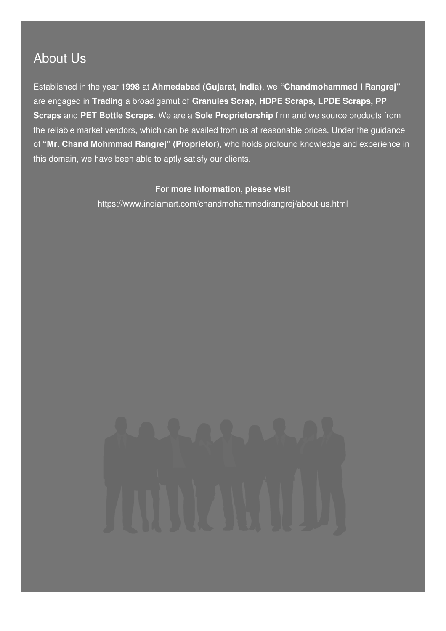### About Us

Established in the year **1998** at **Ahmedabad (Gujarat, India)**, we **"Chandmohammed I Rangrej"** are engaged in **Trading** a broad gamut of **Granules Scrap, HDPE Scraps, LPDE Scraps, PP Scraps** and **PET Bottle Scraps.** We are a **Sole Proprietorship** firm and we source products from the reliable market vendors, which can be availed from us at reasonable prices. Under the guidance of **"Mr. Chand Mohmmad Rangrej" (Proprietor),** who holds profound knowledge and experience in this domain, we have been able to aptly satisfy our clients.

#### **For more information, please visit**

<https://www.indiamart.com/chandmohammedirangrej/about-us.html>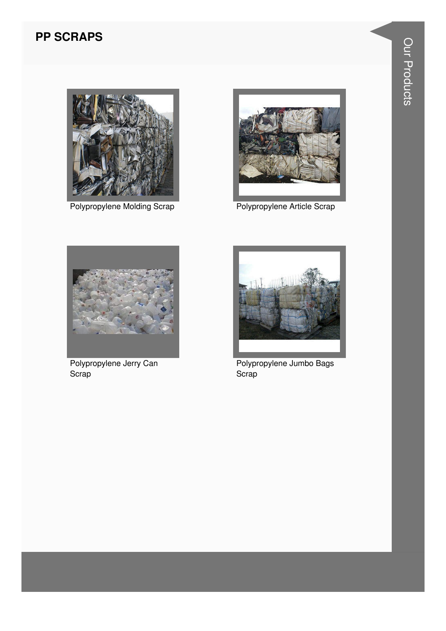#### **PP SCRAPS**



**Polypropylene Molding Scrap** 



Polypropylene Article Scrap



Polypropylene Jerry Can Scrap



Polypropylene Jumbo Bags Scrap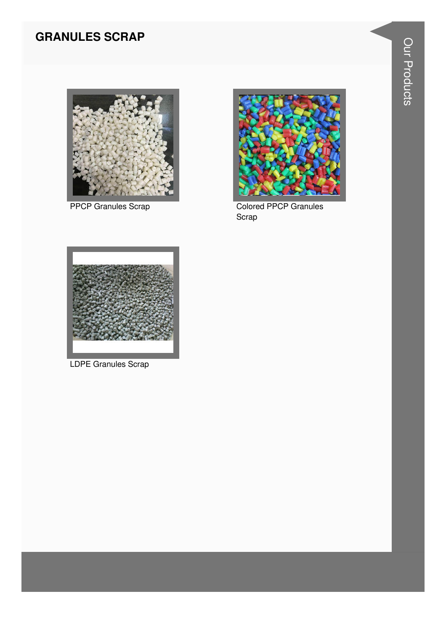#### **GRANULES SCRAP**



**PPCP Granules Scrap** 



**Colored PPCP Granules** Scrap



**LDPE Granules Scrap**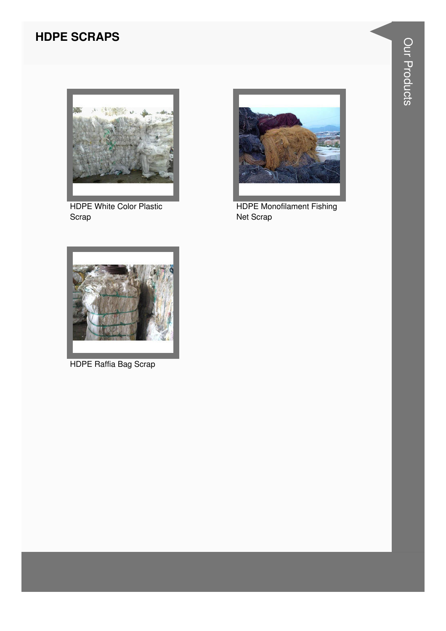#### **HDPE SCRAPS**



HDPE White Color Plastic Scrap



HDPE Monofilament Fishing Net Scrap



HDPE Raffia Bag Scrap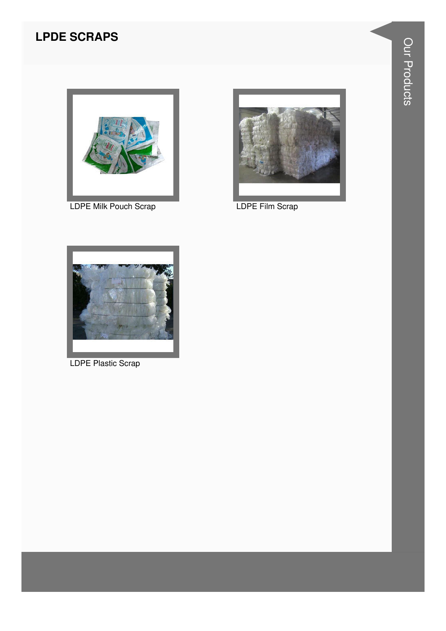#### **LPDE SCRAPS**



LDPE Milk Pouch Scrap **LET CONTACT CONTACT LET** 





LDPE Plastic Scrap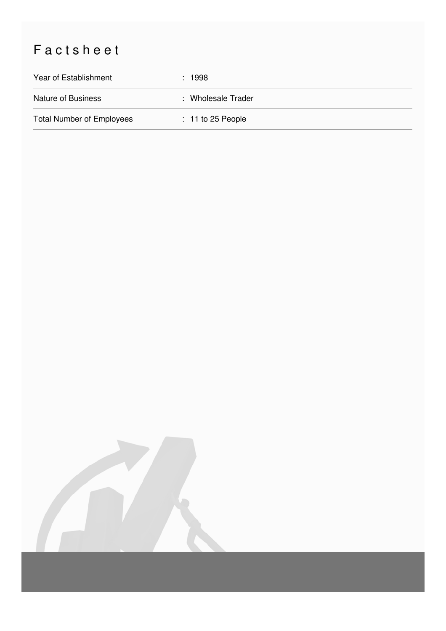## Factsheet

| Year of Establishment            | : 1998              |
|----------------------------------|---------------------|
| Nature of Business               | : Wholesale Trader  |
| <b>Total Number of Employees</b> | $: 11$ to 25 People |